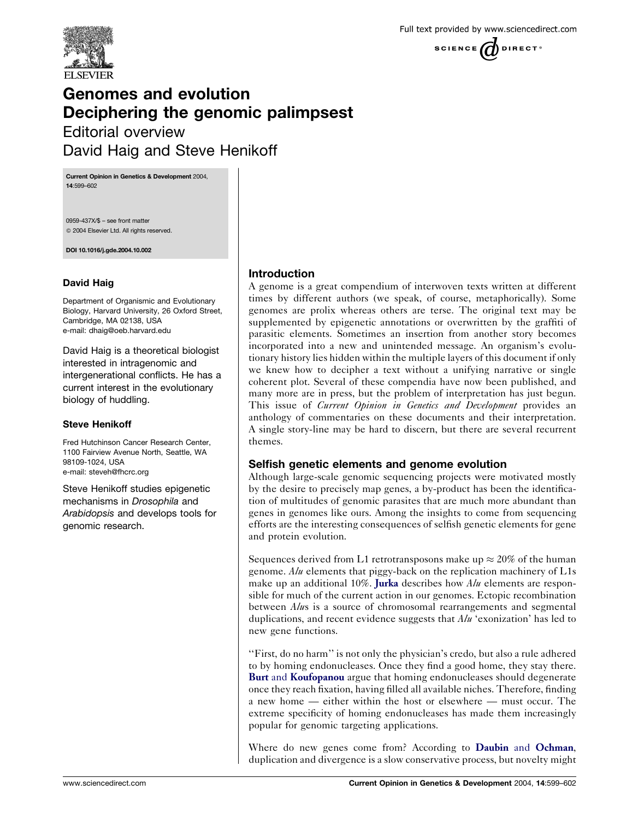



# Genomes and evolution Deciphering the genomic palimpsest Editorial overview

David Haig and Steve Henikoff

Current Opinion in Genetics & Development 2004, 14:599–602

0959-437X/\$ – see front matter 2004 Elsevier Ltd. All rights reserved.

DOI 10.1016/j.gde.2004.10.002

#### David Haig

Department of Organismic and Evolutionary Biology, Harvard University, 26 Oxford Street, Cambridge, MA 02138, USA e-mail: dhaig@oeb.harvard.edu

David Haig is a theoretical biologist interested in intragenomic and intergenerational conflicts. He has a current interest in the evolutionary biology of huddling.

#### Steve Henikoff

Fred Hutchinson Cancer Research Center, 1100 Fairview Avenue North, Seattle, WA 98109-1024, USA e-mail: steveh@fhcrc.org

Steve Henikoff studies epigenetic mechanisms in Drosophila and Arabidopsis and develops tools for genomic research.

## Introduction

A genome is a great compendium of interwoven texts written at different times by different authors (we speak, of course, metaphorically). Some genomes are prolix whereas others are terse. The original text may be supplemented by epigenetic annotations or overwritten by the graffiti of parasitic elements. Sometimes an insertion from another story becomes incorporated into a new and unintended message. An organism's evolutionary history lies hidden within the multiple layers of this document if only we knew how to decipher a text without a unifying narrative or single coherent plot. Several of these compendia have now been published, and many more are in press, but the problem of interpretation has just begun. This issue of *Current Opinion in Genetics and Development* provides an anthology of commentaries on these documents and their interpretation. A single story-line may be hard to discern, but there are several recurrent themes.

## Selfish genetic elements and genome evolution

Although large-scale genomic sequencing projects were motivated mostly by the desire to precisely map genes, a by-product has been the identification of multitudes of genomic parasites that are much more abundant than genes in genomes like ours. Among the insights to come from sequencing efforts are the interesting consequences of selfish genetic elements for gene and protein evolution.

Sequences derived from L1 retrotransposons make up  $\approx$  20% of the human genome. Alu elements that piggy-back on the replication machinery of L1s make up an additional 10%. [Jurka](doi:10.1016/j.gde.2004.08.008) describes how  $A/u$  elements are responsible for much of the current action in our genomes. Ectopic recombination between Alus is a source of chromosomal rearrangements and segmental duplications, and recent evidence suggests that  $A/u$  'exonization' has led to new gene functions.

''First, do no harm'' is not only the physician's credo, but also a rule adhered to by homing endonucleases. Once they find a good home, they stay there. Burt and [Koufopanou](doi:10.1016/j.gde.2004.09.010) argue that homing endonucleases should degenerate once they reach fixation, having filled all available niches. Therefore, finding a new home — either within the host or elsewhere — must occur. The extreme specificity of homing endonucleases has made them increasingly popular for genomic targeting applications.

Where do new genes come from? According to Daubin and [Ochman](doi:10.1016/j.gde.2004.09.004), duplication and divergence is a slow conservative process, but novelty might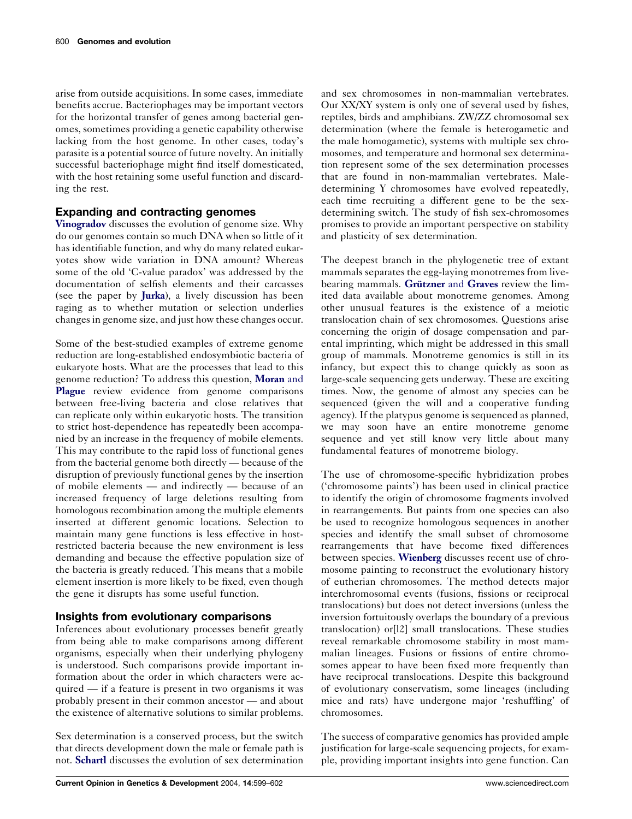arise from outside acquisitions. In some cases, immediate benefits accrue. Bacteriophages may be important vectors for the horizontal transfer of genes among bacterial genomes, sometimes providing a genetic capability otherwise lacking from the host genome. In other cases, today's parasite is a potential source of future novelty. An initially successful bacteriophage might find itself domesticated, with the host retaining some useful function and discarding the rest.

# Expanding and contracting genomes

[Vinogradov](doi:10.1016/j.gde.2004.09.007) discusses the evolution of genome size. Why do our genomes contain so much DNA when so little of it has identifiable function, and why do many related eukaryotes show wide variation in DNA amount? Whereas some of the old 'C-value paradox' was addressed by the documentation of selfish elements and their carcasses (see the paper by [Jurka](doi:10.1016/j.gde.2004.08.008)), a lively discussion has been raging as to whether mutation or selection underlies changes in genome size, and just how these changes occur.

Some of the best-studied examples of extreme genome reduction are long-established endosymbiotic bacteria of eukaryote hosts. What are the processes that lead to this genome reduction? To address this question, [Moran](doi:10.1016/j.gde.2004.09.003) and [Plague](doi:10.1016/j.gde.2004.09.003) review evidence from genome comparisons between free-living bacteria and close relatives that can replicate only within eukaryotic hosts. The transition to strict host-dependence has repeatedly been accompanied by an increase in the frequency of mobile elements. This may contribute to the rapid loss of functional genes from the bacterial genome both directly — because of the disruption of previously functional genes by the insertion of mobile elements — and indirectly — because of an increased frequency of large deletions resulting from homologous recombination among the multiple elements inserted at different genomic locations. Selection to maintain many gene functions is less effective in hostrestricted bacteria because the new environment is less demanding and because the effective population size of the bacteria is greatly reduced. This means that a mobile element insertion is more likely to be fixed, even though the gene it disrupts has some useful function.

## Insights from evolutionary comparisons

Inferences about evolutionary processes benefit greatly from being able to make comparisons among different organisms, especially when their underlying phylogeny is understood. Such comparisons provide important information about the order in which characters were acquired — if a feature is present in two organisms it was probably present in their common ancestor — and about the existence of alternative solutions to similar problems.

Sex determination is a conserved process, but the switch that directs development down the male or female path is not. [Schartl](doi:10.1016/j.gde.2004.09.005) discusses the evolution of sex determination

and sex chromosomes in non-mammalian vertebrates. Our XX/XY system is only one of several used by fishes, reptiles, birds and amphibians. ZW/ZZ chromosomal sex determination (where the female is heterogametic and the male homogametic), systems with multiple sex chromosomes, and temperature and hormonal sex determination represent some of the sex determination processes that are found in non-mammalian vertebrates. Maledetermining Y chromosomes have evolved repeatedly, each time recruiting a different gene to be the sexdetermining switch. The study of fish sex-chromosomes promises to provide an important perspective on stability and plasticity of sex determination.

The deepest branch in the phylogenetic tree of extant mammals separates the egg-laying monotremes from livebearing mammals. Grützner and Graves review the limited data available about monotreme genomes. Among other unusual features is the existence of a meiotic translocation chain of sex chromosomes. Questions arise concerning the origin of dosage compensation and parental imprinting, which might be addressed in this small group of mammals. Monotreme genomics is still in its infancy, but expect this to change quickly as soon as large-scale sequencing gets underway. These are exciting times. Now, the genome of almost any species can be sequenced (given the will and a cooperative funding agency). If the platypus genome is sequenced as planned, we may soon have an entire monotreme genome sequence and yet still know very little about many fundamental features of monotreme biology.

The use of chromosome-specific hybridization probes ('chromosome paints') has been used in clinical practice to identify the origin of chromosome fragments involved in rearrangements. But paints from one species can also be used to recognize homologous sequences in another species and identify the small subset of chromosome rearrangements that have become fixed differences between species. [Wienberg](doi:10.1016/j.gde.2004.10.001) discusses recent use of chromosome painting to reconstruct the evolutionary history of eutherian chromosomes. The method detects major interchromosomal events (fusions, fissions or reciprocal translocations) but does not detect inversions (unless the inversion fortuitously overlaps the boundary of a previous translocation) or[l2] small translocations. These studies reveal remarkable chromosome stability in most mammalian lineages. Fusions or fissions of entire chromosomes appear to have been fixed more frequently than have reciprocal translocations. Despite this background of evolutionary conservatism, some lineages (including mice and rats) have undergone major 'reshuffling' of chromosomes.

The success of comparative genomics has provided ample justification for large-scale sequencing projects, for example, providing important insights into gene function. Can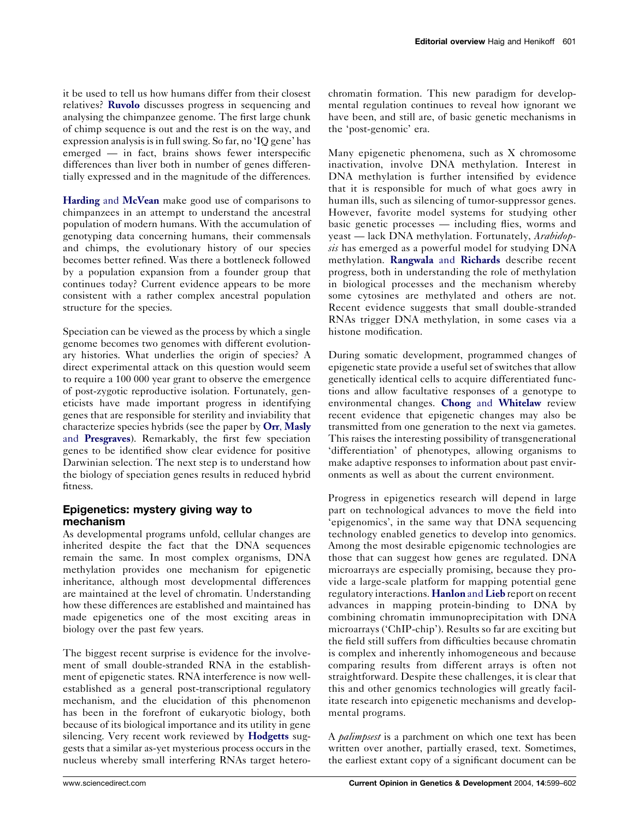it be used to tell us how humans differ from their closest relatives? [Ruvolo](doi:10.1016/j.gde.2004.08.007) discusses progress in sequencing and analysing the chimpanzee genome. The first large chunk of chimp sequence is out and the rest is on the way, and expression analysis is in full swing. So far, no 'IQ gene' has emerged — in fact, brains shows fewer interspecific differences than liver both in number of genes differentially expressed and in the magnitude of the differences.

**[Harding](doi:10.1016/j.gde.2004.08.010)** and **McVean** make good use of comparisons to chimpanzees in an attempt to understand the ancestral population of modern humans. With the accumulation of genotyping data concerning humans, their commensals and chimps, the evolutionary history of our species becomes better refined. Was there a bottleneck followed by a population expansion from a founder group that continues today? Current evidence appears to be more consistent with a rather complex ancestral population structure for the species.

Speciation can be viewed as the process by which a single genome becomes two genomes with different evolutionary histories. What underlies the origin of species? A direct experimental attack on this question would seem to require a 100 000 year grant to observe the emergence of post-zygotic reproductive isolation. Fortunately, geneticists have made important progress in identifying genes that are responsible for sterility and inviability that characterize species hybrids (see the paper by Orr, [Masly](doi:10.1016/j.gde.2004.08.009) and [Presgraves](doi:10.1016/j.gde.2004.08.009)). Remarkably, the first few speciation genes to be identified show clear evidence for positive Darwinian selection. The next step is to understand how the biology of speciation genes results in reduced hybrid fitness.

## Epigenetics: mystery giving way to mechanism

As developmental programs unfold, cellular changes are inherited despite the fact that the DNA sequences remain the same. In most complex organisms, DNA methylation provides one mechanism for epigenetic inheritance, although most developmental differences are maintained at the level of chromatin. Understanding how these differences are established and maintained has made epigenetics one of the most exciting areas in biology over the past few years.

The biggest recent surprise is evidence for the involvement of small double-stranded RNA in the establishment of epigenetic states. RNA interference is now wellestablished as a general post-transcriptional regulatory mechanism, and the elucidation of this phenomenon has been in the forefront of eukaryotic biology, both because of its biological importance and its utility in gene silencing. Very recent work reviewed by **[Hodgetts](doi:10.1016/j.gde.2004.09.002)** suggests that a similar as-yet mysterious process occurs in the nucleus whereby small interfering RNAs target heterochromatin formation. This new paradigm for developmental regulation continues to reveal how ignorant we have been, and still are, of basic genetic mechanisms in the 'post-genomic' era.

Many epigenetic phenomena, such as X chromosome inactivation, involve DNA methylation. Interest in DNA methylation is further intensified by evidence that it is responsible for much of what goes awry in human ills, such as silencing of tumor-suppressor genes. However, favorite model systems for studying other basic genetic processes — including flies, worms and yeast — lack DNA methylation. Fortunately, Arabidopsis has emerged as a powerful model for studying DNA methylation. [Rangwala](doi:10.1016/j.gde.2004.09.009) and Richards describe recent progress, both in understanding the role of methylation in biological processes and the mechanism whereby some cytosines are methylated and others are not. Recent evidence suggests that small double-stranded RNAs trigger DNA methylation, in some cases via a histone modification.

During somatic development, programmed changes of epigenetic state provide a useful set of switches that allow genetically identical cells to acquire differentiated functions and allow facultative responses of a genotype to environmental changes. Chong and [Whitelaw](doi:10.1016/j.gde.2004.09.001) review recent evidence that epigenetic changes may also be transmitted from one generation to the next via gametes. This raises the interesting possibility of transgenerational 'differentiation' of phenotypes, allowing organisms to make adaptive responses to information about past environments as well as about the current environment.

Progress in epigenetics research will depend in large part on technological advances to move the field into 'epigenomics', in the same way that DNA sequencing technology enabled genetics to develop into genomics. Among the most desirable epigenomic technologies are those that can suggest how genes are regulated. DNA microarrays are especially promising, because they provide a large-scale platform for mapping potential gene regulatory interactions. [Hanlon](doi:10.1016/j.gde.2004.09.008) and Lieb report on recent advances in mapping protein-binding to DNA by combining chromatin immunoprecipitation with DNA microarrays ('ChIP-chip'). Results so far are exciting but the field still suffers from difficulties because chromatin is complex and inherently inhomogeneous and because comparing results from different arrays is often not straightforward. Despite these challenges, it is clear that this and other genomics technologies will greatly facilitate research into epigenetic mechanisms and developmental programs.

A *palimpsest* is a parchment on which one text has been written over another, partially erased, text. Sometimes, the earliest extant copy of a significant document can be